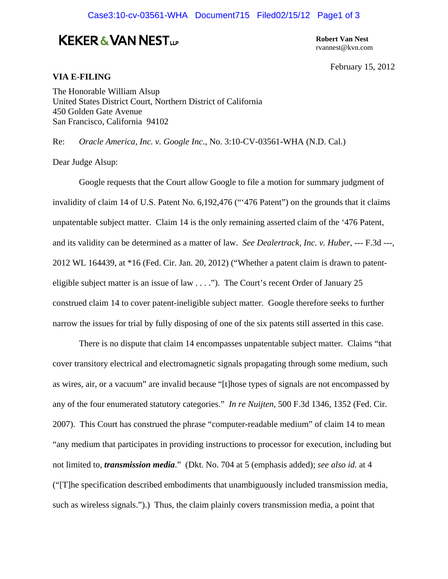## Case3:10-cv-03561-WHA Document715 Filed02/15/12 Page1 of 3

## **KEKER & VAN NEST**<sub>up</sub>

**Robert Van Nest**  rvannest@kvn.com

February 15, 2012

## **VIA E-FILING**

The Honorable William Alsup United States District Court, Northern District of California 450 Golden Gate Avenue San Francisco, California 94102

Re: *Oracle America, Inc. v. Google Inc*., No. 3:10-CV-03561-WHA (N.D. Cal.)

Dear Judge Alsup:

 Google requests that the Court allow Google to file a motion for summary judgment of invalidity of claim 14 of U.S. Patent No. 6,192,476 ("'476 Patent") on the grounds that it claims unpatentable subject matter. Claim 14 is the only remaining asserted claim of the '476 Patent, and its validity can be determined as a matter of law. *See Dealertrack, Inc. v. Huber*, --- F.3d ---, 2012 WL 164439, at \*16 (Fed. Cir. Jan. 20, 2012) ("Whether a patent claim is drawn to patenteligible subject matter is an issue of law . . . ."). The Court's recent Order of January 25 construed claim 14 to cover patent-ineligible subject matter. Google therefore seeks to further narrow the issues for trial by fully disposing of one of the six patents still asserted in this case.

 There is no dispute that claim 14 encompasses unpatentable subject matter. Claims "that cover transitory electrical and electromagnetic signals propagating through some medium, such as wires, air, or a vacuum" are invalid because "[t]hose types of signals are not encompassed by any of the four enumerated statutory categories." *In re Nuijten*, 500 F.3d 1346, 1352 (Fed. Cir. 2007). This Court has construed the phrase "computer-readable medium" of claim 14 to mean "any medium that participates in providing instructions to processor for execution, including but not limited to, *transmission media*." (Dkt. No. 704 at 5 (emphasis added); *see also id.* at 4 ("[T]he specification described embodiments that unambiguously included transmission media, such as wireless signals.").) Thus, the claim plainly covers transmission media, a point that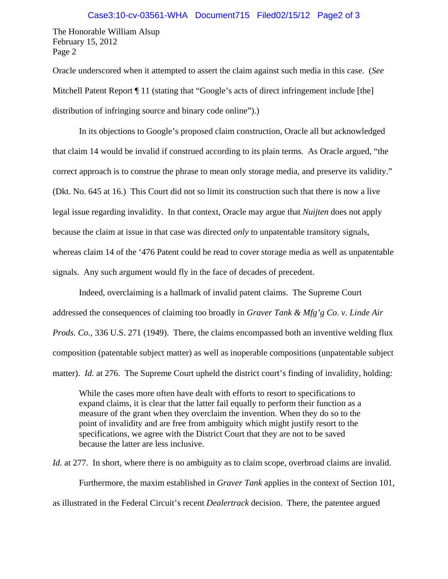The Honorable William Alsup February 15, 2012 Page 2

Oracle underscored when it attempted to assert the claim against such media in this case. (*See*  Mitchell Patent Report  $\P$  11 (stating that "Google's acts of direct infringement include [the] distribution of infringing source and binary code online").)

 In its objections to Google's proposed claim construction, Oracle all but acknowledged that claim 14 would be invalid if construed according to its plain terms. As Oracle argued, "the correct approach is to construe the phrase to mean only storage media, and preserve its validity." (Dkt. No. 645 at 16.) This Court did not so limit its construction such that there is now a live legal issue regarding invalidity. In that context, Oracle may argue that *Nuijten* does not apply because the claim at issue in that case was directed *only* to unpatentable transitory signals, whereas claim 14 of the '476 Patent could be read to cover storage media as well as unpatentable signals. Any such argument would fly in the face of decades of precedent.

 Indeed, overclaiming is a hallmark of invalid patent claims. The Supreme Court addressed the consequences of claiming too broadly in *Graver Tank & Mfg'g Co. v. Linde Air Prods. Co.*, 336 U.S. 271 (1949). There, the claims encompassed both an inventive welding flux composition (patentable subject matter) as well as inoperable compositions (unpatentable subject matter). *Id.* at 276. The Supreme Court upheld the district court's finding of invalidity, holding:

While the cases more often have dealt with efforts to resort to specifications to expand claims, it is clear that the latter fail equally to perform their function as a measure of the grant when they overclaim the invention. When they do so to the point of invalidity and are free from ambiguity which might justify resort to the specifications, we agree with the District Court that they are not to be saved because the latter are less inclusive.

*Id.* at 277. In short, where there is no ambiguity as to claim scope, overbroad claims are invalid. Furthermore, the maxim established in *Graver Tank* applies in the context of Section 101, as illustrated in the Federal Circuit's recent *Dealertrack* decision. There, the patentee argued